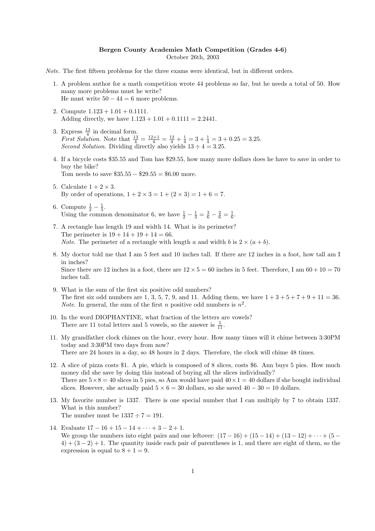## Bergen County Academies Math Competition (Grades 4-6) October 26th, 2003

Note. The first fifteen problems for the three exams were identical, but in different orders.

- 1. A problem author for a math competition wrote 44 problems so far, but he needs a total of 50. How many more problems must he write? He must write  $50 - 44 = 6$  more problems.
- 2. Compute  $1.123 + 1.01 + 0.1111$ . Adding directly, we have  $1.123 + 1.01 + 0.1111 = 2.2441$ .
- 3. Express  $\frac{13}{4}$  in decimal form. *First Solution.* Note that  $\frac{13}{4} = \frac{12+1}{4} = \frac{12}{4} + \frac{1}{4} = 3 + \frac{1}{4} = 3 + 0.25 = 3.25$ . Second Solution. Dividing directly also yields  $13 \div 4 = 3.25$ .
- 4. If a bicycle costs \$35.55 and Tom has \$29.55, how many more dollars does he have to save in order to buy the bike? Tom needs to save  $\$35.55 - \$29.55 = \$6.00$  more.
- 5. Calculate  $1 + 2 \times 3$ . By order of operations,  $1 + 2 \times 3 = 1 + (2 \times 3) = 1 + 6 = 7$ .

inches tall.

- 6. Compute  $\frac{1}{2} \frac{1}{3}$ . Using the common denominator 6, we have  $\frac{1}{2} - \frac{1}{3} = \frac{3}{6} - \frac{2}{6} = \frac{1}{6}$ .
- 7. A rectangle has length 19 and width 14. What is its perimeter? The perimeter is  $19 + 14 + 19 + 14 = 66$ . *Note.* The perimeter of a rectangle with length a and width b is  $2 \times (a + b)$ .
- 8. My doctor told me that I am 5 feet and 10 inches tall. If there are 12 inches in a foot, how tall am I in inches? Since there are 12 inches in a foot, there are  $12 \times 5 = 60$  inches in 5 feet. Therefore, I am  $60 + 10 = 70$
- 9. What is the sum of the first six positive odd numbers? The first six odd numbers are 1, 3, 5, 7, 9, and 11. Adding them, we have  $1+3+5+7+9+11=36$ . *Note.* In general, the sum of the first *n* positive odd numbers is  $n^2$ .
- 10. In the word DIOPHANTINE, what fraction of the letters are vowels? There are 11 total letters and 5 vowels, so the answer is  $\frac{5}{11}$ .
- 11. My grandfather clock chimes on the hour, every hour. How many times will it chime between 3:30PM today and 3:30PM two days from now? There are 24 hours in a day, so 48 hours in 2 days. Therefore, the clock will chime 48 times.
- 12. A slice of pizza costs \$1. A pie, which is composed of 8 slices, costs \$6. Ann buys 5 pies. How much money did she save by doing this instead of buying all the slices individually? There are  $5 \times 8 = 40$  slices in 5 pies, so Ann would have paid  $40 \times 1 = 40$  dollars if she bought individual slices. However, she actually paid  $5 \times 6 = 30$  dollars, so she saved  $40 - 30 = 10$  dollars.
- 13. My favorite number is 1337. There is one special number that I can multiply by 7 to obtain 1337. What is this number? The number must be  $1337 \div 7 = 191$ .
- 14. Evaluate  $17 16 + 15 14 + \cdots + 3 2 + 1$ . We group the numbers into eight pairs and one leftover:  $(17-16) + (15-14) + (13-12) + \cdots + (5-16)$  $4) + (3 - 2) + 1$ . The quantity inside each pair of parentheses is 1, and there are eight of them, so the expression is equal to  $8 + 1 = 9$ .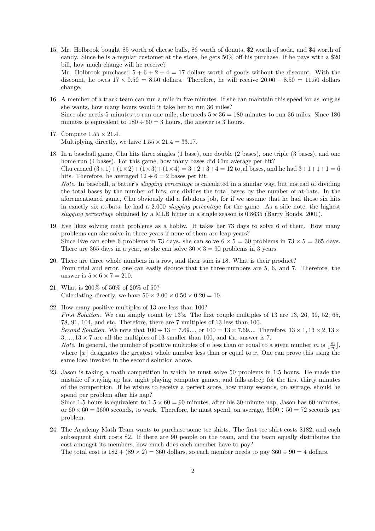- 15. Mr. Holbrook bought \$5 worth of cheese balls, \$6 worth of donuts, \$2 worth of soda, and \$4 worth of candy. Since he is a regular customer at the store, he gets 50% off his purchase. If he pays with a \$20 bill, how much change will he receive? Mr. Holbrook purchased  $5 + 6 + 2 + 4 = 17$  dollars worth of goods without the discount. With the
	- discount, he owes  $17 \times 0.50 = 8.50$  dollars. Therefore, he will receive  $20.00 8.50 = 11.50$  dollars change.
- 16. A member of a track team can run a mile in five minutes. If she can maintain this speed for as long as she wants, how many hours would it take her to run 36 miles? Since she needs 5 minutes to run one mile, she needs  $5 \times 36 = 180$  minutes to run 36 miles. Since 180 minutes is equivalent to  $180 \div 60 = 3$  hours, the answer is 3 hours.
- 17. Compute 1.55 × 21.4. Multiplying directly, we have  $1.55 \times 21.4 = 33.17$ .
- 18. In a baseball game, Chu hits three singles (1 base), one double (2 bases), one triple (3 bases), and one home run (4 bases). For this game, how many bases did Chu average per hit? Chu earned  $(3 \times 1) + (1 \times 2) + (1 \times 3) + (1 \times 4) = 3 + 2 + 3 + 4 = 12$  total bases, and he had  $3 + 1 + 1 + 1 = 6$ hits. Therefore, he averaged  $12 \div 6 = 2$  bases per hit. Note. In baseball, a batter's *slugging percentage* is calculated in a similar way, but instead of dividing the total bases by the number of hits, one divides the total bases by the number of at-bats. In the aforementioned game, Chu obviously did a fabulous job, for if we assume that he had those six hits in exactly six at-bats, he had a 2.000 slugging percentage for the game. As a side note, the highest slugging percentage obtained by a MLB hitter in a single season is 0.8635 (Barry Bonds, 2001).
- 19. Eve likes solving math problems as a hobby. It takes her 73 days to solve 6 of them. How many problems can she solve in three years if none of them are leap years? Since Eve can solve 6 problems in 73 days, she can solve  $6 \times 5 = 30$  problems in  $73 \times 5 = 365$  days. There are 365 days in a year, so she can solve  $30 \times 3 = 90$  problems in 3 years.
- 20. There are three whole numbers in a row, and their sum is 18. What is their product? From trial and error, one can easily deduce that the three numbers are 5, 6, and 7. Therefore, the answer is  $5 \times 6 \times 7 = 210$ .
- 21. What is 200% of 50% of 20% of 50? Calculating directly, we have  $50 \times 2.00 \times 0.50 \times 0.20 = 10$ .
- 22. How many positive multiples of 13 are less than 100? First Solution. We can simply count by 13's. The first couple multiples of 13 are 13, 26, 39, 52, 65, 78, 91, 104, and etc. Therefore, there are 7 multiples of 13 less than 100. Second Solution. We note that  $100 \div 13 = 7.69...$ , or  $100 = 13 \times 7.69...$  Therefore,  $13 \times 1, 13 \times 2, 13 \times 3$  $3, \ldots, 13 \times 7$  are all the multiples of 13 smaller than 100, and the answer is 7. *Note.* In general, the number of positive multiples of n less than or equal to a given number m is  $\lfloor \frac{m}{n} \rfloor$ , where  $|x|$  designates the greatest whole number less than or equal to x. One can prove this using the same idea invoked in the second solution above.
- 23. Jason is taking a math competition in which he must solve 50 problems in 1.5 hours. He made the mistake of staying up last night playing computer games, and falls asleep for the first thirty minutes of the competition. If he wishes to receive a perfect score, how many seconds, on average, should he spend per problem after his nap?

Since 1.5 hours is equivalent to  $1.5 \times 60 = 90$  minutes, after his 30-minute nap, Jason has 60 minutes, or  $60 \times 60 = 3600$  seconds, to work. Therefore, he must spend, on average,  $3600 \div 50 = 72$  seconds per problem.

24. The Academy Math Team wants to purchase some tee shirts. The first tee shirt costs \$182, and each subsequent shirt costs \$2. If there are 90 people on the team, and the team equally distributes the cost amongst its members, how much does each member have to pay?

The total cost is  $182 + (89 \times 2) = 360$  dollars, so each member needs to pay  $360 \div 90 = 4$  dollars.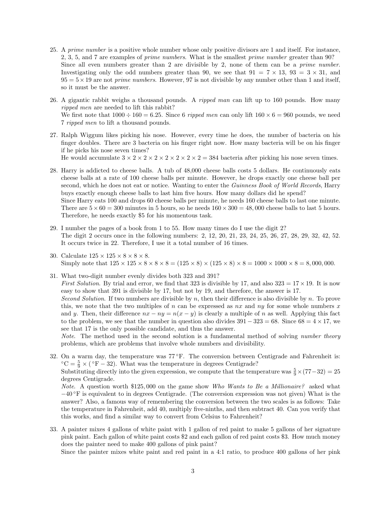- 25. A prime number is a positive whole number whose only positive divisors are 1 and itself. For instance, 2, 3, 5, and 7 are examples of prime numbers. What is the smallest prime number greater than 90? Since all even numbers greater than 2 are divisible by 2, none of them can be a prime number. Investigating only the odd numbers greater than 90, we see that  $91 = 7 \times 13$ ,  $93 = 3 \times 31$ , and  $95 = 5 \times 19$  are not *prime numbers*. However, 97 is not divisible by any number other than 1 and itself, so it must be the answer.
- 26. A gigantic rabbit weighs a thousand pounds. A *ripped man* can lift up to 160 pounds. How many ripped men are needed to lift this rabbit? We first note that  $1000 \div 160 = 6.25$ . Since 6 ripped men can only lift  $160 \times 6 = 960$  pounds, we need 7 ripped men to lift a thousand pounds.
- 27. Ralph Wiggum likes picking his nose. However, every time he does, the number of bacteria on his finger doubles. There are 3 bacteria on his finger right now. How many bacteria will be on his finger if he picks his nose seven times?

He would accumulate  $3 \times 2 \times 2 \times 2 \times 2 \times 2 \times 2 \times 2 = 384$  bacteria after picking his nose seven times.

- 28. Harry is addicted to cheese balls. A tub of 48,000 cheese balls costs 5 dollars. He continuously eats cheese balls at a rate of 100 cheese balls per minute. However, he drops exactly one cheese ball per second, which he does not eat or notice. Wanting to enter the Guinness Book of World Records, Harry buys exactly enough cheese balls to last him five hours. How many dollars did he spend? Since Harry eats 100 and drops 60 cheese balls per minute, he needs 160 cheese balls to last one minute. There are  $5 \times 60 = 300$  minutes in 5 hours, so he needs  $160 \times 300 = 48,000$  cheese balls to last 5 hours.
- 29. I number the pages of a book from 1 to 55. How many times do I use the digit 2? The digit 2 occurs once in the following numbers: 2, 12, 20, 21, 23, 24, 25, 26, 27, 28, 29, 32, 42, 52. It occurs twice in 22. Therefore, I use it a total number of 16 times.

Therefore, he needs exactly \$5 for his momentous task.

- 30. Calculate  $125 \times 125 \times 8 \times 8 \times 8$ . Simply note that  $125 \times 125 \times 8 \times 8 \times 8 = (125 \times 8) \times (125 \times 8) \times 8 = 1000 \times 1000 \times 8 = 8,000,000$ .
- 31. What two-digit number evenly divides both 323 and 391? *First Solution.* By trial and error, we find that 323 is divisible by 17, and also  $323 = 17 \times 19$ . It is now easy to show that 391 is divisible by 17, but not by 19, and therefore, the answer is 17. Second Solution. If two numbers are divisible by n, then their difference is also divisible by n. To prove this, we note that the two multiples of n can be expressed as  $nx$  and  $ny$  for some whole numbers x and y. Then, their difference  $nx - ny = n(x - y)$  is clearly a multiple of n as well. Applying this fact to the problem, we see that the number in question also divides  $391 - 323 = 68$ . Since  $68 = 4 \times 17$ , we see that 17 is the only possible candidate, and thus the answer.

Note. The method used in the second solution is a fundamental method of solving number theory problems, which are problems that involve whole numbers and divisibility.

32. On a warm day, the temperature was  $77^{\circ}$ F. The conversion between Centigrade and Fahrenheit is: °C =  $\frac{5}{9} \times$  (°F – 32). What was the temperature in degrees Centigrade?

Substituting directly into the given expression, we compute that the temperature was  $\frac{5}{9} \times (77-32) = 25$ degrees Centigrade.

Note. A question worth \$125,000 on the game show Who Wants to Be a Millionaire? asked what −40 ◦F is equivalent to in degrees Centigrade. (The conversion expression was not given) What is the answer? Also, a famous way of remembering the conversion between the two scales is as follows: Take the temperature in Fahrenheit, add 40, multiply five-ninths, and then subtract 40. Can you verify that this works, and find a similar way to convert from Celsius to Fahrenheit?

33. A painter mixes 4 gallons of white paint with 1 gallon of red paint to make 5 gallons of her signature pink paint. Each gallon of white paint costs \$2 and each gallon of red paint costs \$3. How much money does the painter need to make 400 gallons of pink paint?

Since the painter mixes white paint and red paint in a 4:1 ratio, to produce 400 gallons of her pink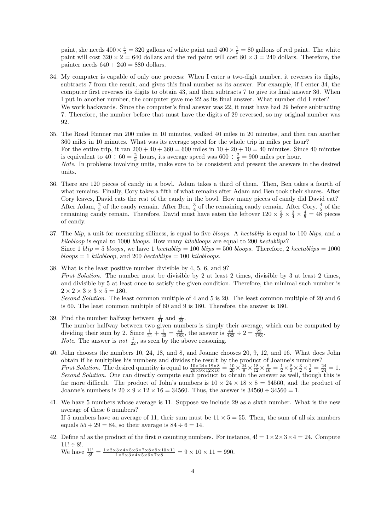paint, she needs  $400 \times \frac{4}{5} = 320$  gallons of white paint and  $400 \times \frac{1}{5} = 80$  gallons of red paint. The white paint will cost  $320 \times 2 = 640$  dollars and the red paint will cost  $80 \times 3 = 240$  dollars. Therefore, the painter needs  $640 + 240 = 880$  dollars.

- 34. My computer is capable of only one process: When I enter a two-digit number, it reverses its digits, subtracts 7 from the result, and gives this final number as its answer. For example, if I enter 34, the computer first reverses its digits to obtain 43, and then subtracts 7 to give its final answer 36. When I put in another number, the computer gave me 22 as its final answer. What number did I enter? We work backwards. Since the computer's final answer was 22, it must have had 29 before subtracting 7. Therefore, the number before that must have the digits of 29 reversed, so my original number was 92.
- 35. The Road Runner ran 200 miles in 10 minutes, walked 40 miles in 20 minutes, and then ran another 360 miles in 10 minutes. What was its average speed for the whole trip in miles per hour? For the entire trip, it ran  $200 + 40 + 360 = 600$  miles in  $10 + 20 + 10 = 40$  minutes. Since 40 minutes is equivalent to  $40 \div 60 = \frac{2}{3}$  hours, its average speed was  $600 \div \frac{2}{3} = 900$  miles per hour. Note. In problems involving units, make sure to be consistent and present the answers in the desired units.
- 36. There are 120 pieces of candy in a bowl. Adam takes a third of them. Then, Ben takes a fourth of what remains. Finally, Cory takes a fifth of what remains after Adam and Ben took their shares. After Cory leaves, David eats the rest of the candy in the bowl. How many pieces of candy did David eat? After Adam,  $\frac{2}{3}$  of the candy remain. After Ben,  $\frac{3}{4}$  of the remaining candy remain. After Cory,  $\frac{4}{5}$  of the remaining candy remain. Therefore, David must have eaten the leftover  $120 \times \frac{2}{3} \times \frac{3}{4} \times \frac{4}{5} = 48$  pieces of candy.
- 37. The blip, a unit for measuring silliness, is equal to five bloops. A hectablip is equal to 100 blips, and a  $kilobloop$  is equal to 1000 bloops. How many kilobloops are equal to 200 hectablips? Since 1  $blip = 5 \, bloops$ , we have 1  $\,hectablip = 100 \, blips = 500 \, bloops$ . Therefore, 2  $\,hectablips = 1000$  $\textit{bloops} = 1 \textit{ kilobloop}, \text{and } 200 \textit{ hectablips} = 100 \textit{ kilobloops}.$
- 38. What is the least positive number divisible by 4, 5, 6, and 9? First Solution. The number must be divisible by 2 at least 2 times, divisible by 3 at least 2 times, and divisible by 5 at least once to satisfy the given condition. Therefore, the minimal such number is  $2 \times 2 \times 3 \times 3 \times 5 = 180$ . Second Solution. The least common multiple of 4 and 5 is 20. The least common multiple of 20 and 6 is 60. The least common multiple of 60 and 9 is 180. Therefore, the answer is 180.
- 39. Find the number halfway between  $\frac{1}{21}$  and  $\frac{1}{23}$ . The number halfway between two given numbers is simply their average, which can be computed by dividing their sum by 2. Since  $\frac{1}{21} + \frac{1}{23} = \frac{44}{483}$ , the answer is  $\frac{44}{483} \div 2 = \frac{22}{483}$ . *Note.* The answer is *not*  $\frac{1}{22}$ , as seen by the above reasoning.
- 40. John chooses the numbers 10, 24, 18, and 8, and Joanne chooses 20, 9, 12, and 16. What does John obtain if he multiplies his numbers and divides the result by the product of Joanne's numbers? *First Solution*. The desired quantity is equal to  $\frac{10 \times 24 \times 18 \times 8}{20 \times 9 \times 12 \times 16} = \frac{10}{20} \times \frac{24}{9} \times \frac{18}{12} \times \frac{8}{16} = \frac{1}{2} \times \frac{8}{3} \times \frac{3}{2} \times \frac{1}{2} = \frac{24}{24} = 1$ . Second Solution. One can directly compute each product to obtain the answer as well, though this is far more difficult. The product of John's numbers is  $10 \times 24 \times 18 \times 8 = 34560$ , and the product of Joanne's numbers is  $20 \times 9 \times 12 \times 16 = 34560$ . Thus, the answer is  $34560 \div 34560 = 1$ .
- 41. We have 5 numbers whose average is 11. Suppose we include 29 as a sixth number. What is the new average of these 6 numbers? If 5 numbers have an average of 11, their sum must be  $11 \times 5 = 55$ . Then, the sum of all six numbers equals  $55 + 29 = 84$ , so their average is  $84 \div 6 = 14$ .
- 42. Define n! as the product of the first n counting numbers. For instance,  $4! = 1 \times 2 \times 3 \times 4 = 24$ . Compute  $11! \div 8!$ .

We have  $\frac{11!}{8!} = \frac{1 \times 2 \times 3 \times 4 \times 5 \times 6 \times 7 \times 8 \times 9 \times 10 \times 11}{1 \times 2 \times 3 \times 4 \times 5 \times 6 \times 7 \times 8} = 9 \times 10 \times 11 = 990.$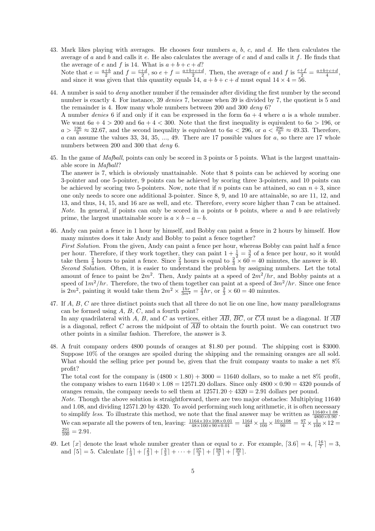- 43. Mark likes playing with averages. He chooses four numbers a, b, c, and d. He then calculates the average of a and b and calls it  $e$ . He also calculates the average of c and d and calls it  $f$ . He finds that the average of e and f is 14. What is  $a + b + c + d$ ? Note that  $e = \frac{a+b}{2}$  and  $f = \frac{c+d}{2}$ , so  $e + f = \frac{a+b+c+d}{2}$ . Then, the average of e and f is  $\frac{e+f}{2} = \frac{a+b+c+d}{4}$ , and since it was given that this quantity equals 14,  $a + b + c + d$  must equal  $14 \times 4 = 56$ .
- 44. A number is said to *deny* another number if the remainder after dividing the first number by the second number is exactly 4. For instance, 39 denies 7, because when 39 is divided by 7, the quotient is 5 and the remainder is 4. How many whole numbers between 200 and 300 deny 6? A number denies 6 if and only if it can be expressed in the form  $6a + 4$  where a is a whole number. We want  $6a + 4 > 200$  and  $6a + 4 < 300$ . Note that the first inequality is equivalent to  $6a > 196$ , or  $a > \frac{196}{6} \approx 32.67$ , and the second inequality is equivalent to  $6a < 296$ , or  $a < \frac{296}{6} \approx 49.33$ . Therefore, a can assume the values 33, 34, 35, ..., 49. There are 17 possible values for  $a$ , so there are 17 whole numbers between 200 and 300 that deny 6.
- 45. In the game of Mafball, points can only be scored in 3 points or 5 points. What is the largest unattainable score in Mafball?

The answer is 7, which is obviously unattainable. Note that 8 points can be achieved by scoring one 3-pointer and one 5-pointer, 9 points can be achieved by scoring three 3-pointers, and 10 points can be achieved by scoring two 5-pointers. Now, note that if n points can be attained, so can  $n + 3$ , since one only needs to score one additional 3-pointer. Since 8, 9, and 10 are attainable, so are 11, 12, and 13, and thus, 14, 15, and 16 are as well, and etc. Therefore, every score higher than 7 can be attained. *Note.* In general, if points can only be scored in a points or b points, where a and b are relatively prime, the largest unattainable score is  $a \times b - a - b$ .

- 46. Andy can paint a fence in 1 hour by himself, and Bobby can paint a fence in 2 hours by himself. How many minutes does it take Andy and Bobby to paint a fence together? First Solution. From the given, Andy can paint a fence per hour, whereas Bobby can paint half a fence per hour. Therefore, if they work together, they can paint  $1+\frac{1}{2}=\frac{3}{2}$  of a fence per hour, so it would take them  $\frac{2}{3}$  hours to paint a fence. Since  $\frac{2}{3}$  hours is equal to  $\frac{2}{3} \times 60 = 40$  minutes, the answer is 40. Second Solution. Often, it is easier to understand the problem by assigning numbers. Let the total amount of fence to paint be  $2m^2$ . Then, Andy paints at a speed of  $2m^2/hr$ , and Bobby paints at a speed of  $1m^2/hr$ . Therefore, the two of them together can paint at a speed of  $3m^2/hr$ . Since one fence is  $2m^2$ , painting it would take them  $2m^2 \times \frac{1hr}{3m^2} = \frac{2}{3}hr$ , or  $\frac{2}{3} \times 60 = 40$  minutes.
- 47. If A, B, C are three distinct points such that all three do not lie on one line, how many parallelograms can be formed using A, B, C, and a fourth point? In any quadrilateral with A, B, and C as vertices, either  $\overline{AB}$ ,  $\overline{BC}$ , or  $\overline{CA}$  must be a diagonal. If  $\overline{AB}$ is a diagonal, reflect C across the midpoint of  $\overline{AB}$  to obtain the fourth point. We can construct two other points in a similar fashion. Therefore, the answer is 3.
- 48. A fruit company orders 4800 pounds of oranges at \$1.80 per pound. The shipping cost is \$3000. Suppose 10% of the oranges are spoiled during the shipping and the remaining oranges are all sold. What should the selling price per pound be, given that the fruit company wants to make a net 8% profit?

The total cost for the company is  $(4800 \times 1.80) + 3000 = 11640$  dollars, so to make a net 8% profit, the company wishes to earn  $11640 \times 1.08 = 12571.20$  dollars. Since only  $4800 \times 0.90 = 4320$  pounds of oranges remain, the company needs to sell them at  $12571.20 \div 4320 = 2.91$  dollars per pound.

Note. Though the above solution is straightforward, there are two major obstacles: Multiplying 11640 and 1.08, and dividing 12571.20 by 4320. To avoid performing such long arithmetic, it is often necessary to simplify less. To illustrate this method, we note that the final answer may be written as  $\frac{11640 \times 1.08}{4800 \times 0.90}$ . We can separate all the powers of ten, leaving:  $\frac{1164 \times 10 \times 108 \times 0.01}{48 \times 100 \times 90 \times 0.01} = \frac{1164}{48} \times \frac{1}{100} \times \frac{10 \times 108}{90} = \frac{97}{4} \times \frac{1}{100} \times 12 =$  $\frac{291}{100} = 2.91.$ 

49. Let  $\lfloor x \rfloor$  denote the least whole number greater than or equal to x. For example,  $\lceil 3.6 \rceil = 4$ ,  $\lceil \frac{16}{7} \rceil = 3$ , and  $\lceil 5 \rceil = 5$ . Calculate  $\lceil \frac{1}{3} \rceil + \lceil \frac{2}{3} \rceil + \lceil \frac{3}{3} \rceil + \cdots + \lceil \frac{97}{3} \rceil + \lceil \frac{98}{3} \rceil + \lceil \frac{99}{3} \rceil$ .